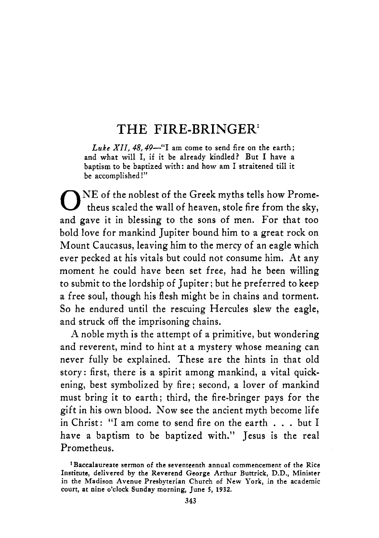#### **THE FIRE-BRINGER'**

 $Luke XII. 48.49$ <sup>-"</sup>I am come to send fire on the earth; **and what will** I, **if it be already kindled? But** I **have a baptism to be baptized with: and how am** I **straitened till it be accomplished!"** 

 $\mathbf{O}^{\text{NE of the noblest of the Greek myths tells how Promet.}$ and gave it in blessing to the sons of men. For that too bold love for mankind Jupiter bound him to a great rock on Mount Caucasus, leaving him to the mercy of an eagle which ever pecked at his vitals but could not consume him. At any moment he could have been set free, had he been willing to submit to the lordship of Jupiter; but he preferred to keep a free soul, though his flesh might be in chains and torment. So he endured until the rescuing Hercules slew the eagle, and struck off the imprisoning chains.

A noble myth is the attempt of a primitive, but wondering and reverent, mind to hint at a mystery whose meaning can never fully be explained. These are the hints in that old story: first, there is a spirit among mankind, a vital quickening, best symbolized by fire; second, a lover of mankind must bring it to earth; third, the fire-bringer pays for the gift in his own blood. Now see the ancient myth become life in Christ: "I am come to send fire on the earth . . . but I have a baptism to be baptized with." Jesus is the real Prometheus.

**<sup>&#</sup>x27;Baccalaureate sermon of the seventeenth annual commencement of the Rice Institute, delivered by the Reverend George Arthur Buttrick, D.D., Minister in the Madison Avenue Presbyterian Church of New York, in the academic court, at nine o'clock Sunday morning, June 5, 1932.**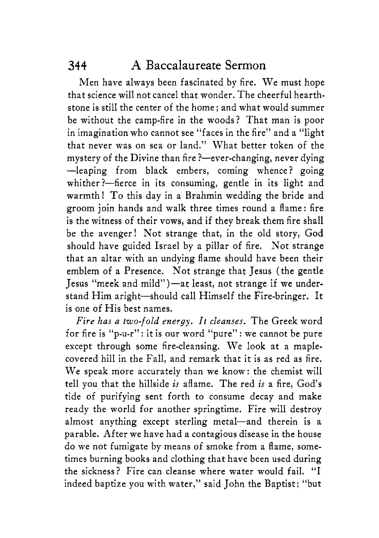Men have always been fascinated by fire. We must hope that science will not cancel that wonder. The cheerful hearthstone is still the center of the home; and what would summer be without the camp-fire in the woods? That man is poor in imagination who cannot see "faces in the fire" and a "light that never was on sea or land." What better token of the mystery of the Divine than fire ?- ever-changing, never dying -leaping from black embers, coming whence? going whither?-fierce in its consuming, gentle in its light and warmth! To this day in a Brahmin wedding the bride and groom join hands and walk three times round a flame: fire is the witness of their vows, and if they break them fire shall be the avenger! Not strange that, in the old story, God should have guided Israel by a pillar of fire. Not strange that an altar with an undying flame should have been their emblem of a Presence. Not strange that Jesus (the gentle Jesus "meek and mild")-at least, not strange if we understand Him aright-should call Himself the Fire-bringer. It is one of His best names.

*Fire has a two-fold energy. It cleanses.* The Greek word for fire is "p-u-r" : it is our word "pure" : we cannot be pure except through some fire-cleansing. We look at a maplecovered hill in the Fall, and remark that it is as red as fire. We speak more accurately than we know: the chemist will tell you that the hillside *is* aflame. The red *is* a fire, God's tide of purifying sent forth to consume decay and make ready the world for another springtime. Fire will destroy almost anything except sterling metal-and therein is a parable. After we have had a contagious disease in the house do we not fumigate by means of smoke from a flame, sometimes burning books and clothing that have been used during the sickness? Fire can cleanse where water would fail. "I indeed baptize you with water," said John the Baptist; "but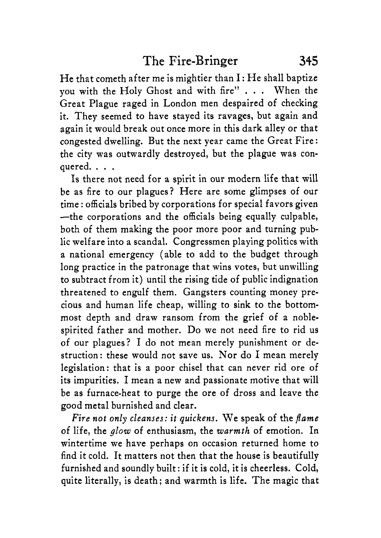He that cometh after me is mightier than I : He shall baptize you with the Holy Ghost and with fire" . . . When the Great Plague raged in London men despaired of checking it. They seemed to have stayed its ravages, but again and again it would break out once more in this dark alley or that congested dwelling. But the next year came the Great Fire : the city was outwardly destroyed, but the plague was conquered. . . .

Is there not need for a spirit in our modern life that will be as fire to our plagues? Here are some glimpses of our time : officials bribed by corporations for special favors given -the corporations and the officials being equally culpable, both of them making the poor more poor and turning public welfare into a scandal. Congressmen playing politics with a national emergency (able to add to the budget through long practice in the patronage that wins votes, but unwilling to subtract from it) until the rising tide of public indignation threatened to engulf them. Gangsters counting money precious and human life cheap, willing to sink to the bottommost depth and draw ransom from the grief of a noblespirited father and mother. Do we not need fire to rid us of our plagues? I do not mean merely punishment or destruction: these would not save us. Nor do I mean merely legislation: that is a poor chisel that can never rid ore of its impurities. I mean a new and passionate motive that will be as furnace-heat to purge the ore of dross and leave the good metal burnished and clear.

*Fire not only cleanses: it quickens.* We speak of the *flame* of life, the *glow* of enthusiasm, the *warmth* of emotion. In wintertime we have perhaps on occasion returned home to find it cold. It matters not then that the house is beautifully furnished and soundly built: if it is cold, it is cheerless. Cold, quite literally, is death; and warmth is life. The magic that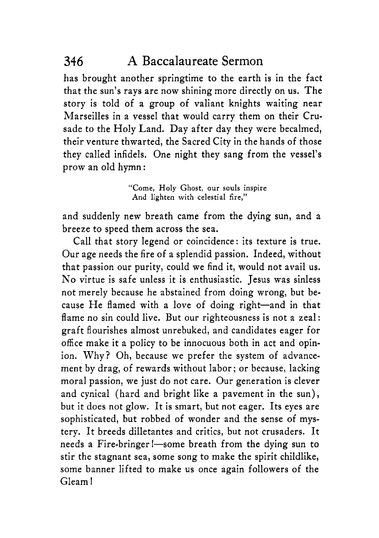has brought another springtime to the earth is in the fact that the sun's rays are now shining more directly on us. The story is told of a group of valiant knights waiting near Marseilles in a vessel that would carry them on their Crusade to the Holy Land. Day after day they were becalmed, their venture thwarted, the Sacred City in the hands of those they called infidels. One night they sang from the vessel's prow an old hymn :

> **"Come,** Holy Ghost, our souls inspire And lighten with celestial **fire,"**

and suddenly new breath came from the dying sun, and a breeze to speed them across the sea.

Call that story legend or coincidence: its texture is true. Our age needs the fire of a splendid passion. Indeed, without that passion our purity, could we find it, would not avail us. No virtue is safe unless it is enthusiastic. Jesus was sinless not merely because he abstained from doing wrong, but because He flamed with a love of doing right-and in that flame no sin could live. But our righteousness is not a zeal: graft flourishes almost unrebuked, and candidates eager for office make it a policy to be innocuous both in act and opinion. Why? Oh, because we prefer the system of advancement by drag, of rewards without labor; or because, lacking moral passion, we just do not care. Our generation is clever and cynical (hard and bright like a pavement in the sun), but it does not glow. It is smart, but not eager. Its eyes are sophisticated, but robbed of wonder and the sense of mystery. It breeds dilletantes and critics, but not crusaders. It needs a Fire-bringer!-some breath from the dying sun to stir the stagnant sea, some song to make the spirit childlike, some banner lifted to make us once again followers of the Gleam !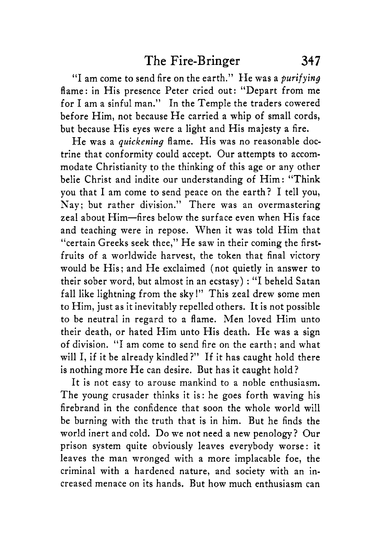"I am come to send fire on the earth." He was a *purifying*  flame: in His presence Peter cried out: "Depart from me for I am a sinful man." In the Temple the traders cowered before Him, not because He carried a whip of small cords, but because His eyes were a light and His majesty *a* fire.

He was a *quickening* flame. His was no reasonable doctrine that conformity could accept. Our attempts to accommodate Christianity to the thinking of this age or any other belie Christ and indite our understanding of Him: "Think you that I am come to send peace on the earth? I tell you, Nay; but rather division." There was an overmastering zeal about Him-fires below the surface even when His face and teaching were in repose. When it was told Him that "certain Greeks seek thee," He saw in their coming the firstfruits of a worldwide harvest, the token that final victory would be His; and He exclaimed (not quietly in answer to their sober word, but almost in an ecstasy) : "I beheld Satan fall like lightning from the sky!" This zeal drew some men to Him, just as it inevitably repelled others. It is not possible to be neutral in regard to a flame. Men loved Him unto their death, or hated Him unto His death. He was a sign of division. "I am come to send fire on the earth; and what will I, if it be already kindled?" If it has caught hold there is nothing more He can desire. But has it caught hold?

It is not easy to arouse mankind to a noble enthusiasm. The young crusader thinks it is: he goes forth waving his firebrand in the confidence that soon the whole world will be burning with the truth that is in him. But he finds the world inert and cold. Do we not need a new penology? Our prison system quite obviously leaves everybody worse: it leaves the man wronged with a more implacable foe, the criminal with a hardened nature, and society with an increased menace on its hands. But how much enthusiasm can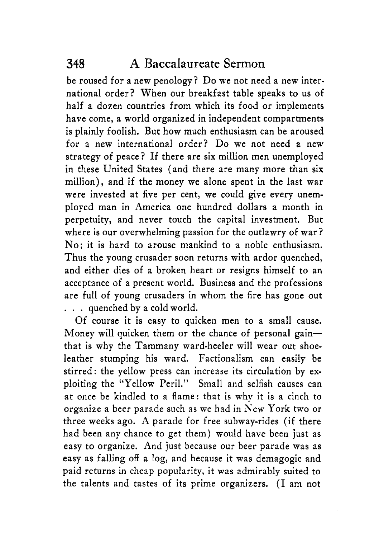be roused for a new penology? Do we not need a new international order? When our breakfast table speaks to us of half a dozen countries from which its food or implements have come, a world organized in independent compartments is plainly foolish. But how much enthusiasm can be aroused for a new international order? Do we not need a new strategy of peace? If there are six million men unemployed in these United States (and there are many more than six million), and if the money we alone spent in the last war were invested at five per cent, we could give every unemployed man in America one hundred dollars a month in perpetuity, and never touch the capital investment. But where is our overwhelming passion for the outlawry of war? No; it is hard to arouse mankind to a noble enthusiasm. Thus the young crusader soon returns with ardor quenched, and either dies of a broken heart or resigns himself to an acceptance of a present world. Business and the professions are full of young crusaders in whom the fire has gone out . . . quenched by a cold world.

Of course it is easy to quicken men to a small cause. Money will quicken them or the chance of personal gainthat is why the Tammany ward-heeler will wear out shoeleather stumping his ward. Factionalism can easily be stirred: the yellow press can increase its circulation by exploiting the "Yellow Peril." Small and selfish causes can at once be kindled to a flame: that is why it is a cinch to organize a beer parade such as we had in New York two or three weeks ago. A parade for free subway-rides (if there had been any chance to get them) would have been just **as**  easy to organize. And just because our beer parade was as easy as falling off a log, and because it was demagogic and paid returns in cheap popularity, it was admirably suited to the talents and tastes of its prime organizers. (I am not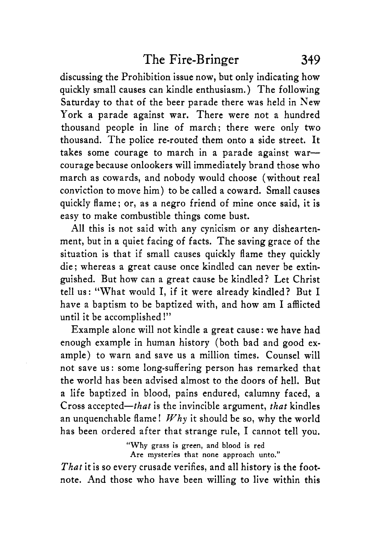discussing the Prohibition issue now, but only indicating how quickly small causes can kindle enthusiasm. ) The following Saturday to that of the beer parade there was held in New York a parade against war. There were not a hundred thousand people in line of march; there were only two thousand. The police re-routed them onto a side street. It takes some courage to march in a parade against warcourage because onlookers will immediately brand those who march as cowards, and nobody would choose (without real conviction to move him) to be called a coward. Small causes quickly flame; or, as a negro friend of mine once said, it is easy to make combustible things come bust.

All this is not said with any cynicism or any disheartenment, but in a quiet facing of facts. The saving grace of the situation is that if small causes quickly flame they quickly die ; whereas a great cause once kindled can never be extinguished. But how can a great cause be kindled? Let Christ tell us: "What would I, if it were already kindled? But I have a baptism to be baptized with, and how am I afflicted until it be accomplished I"

Example alone will not kindle a great cause : we have had enough example in human history (both bad and good example) to warn and save us a million times. Counsel will not save us : some long-suffering person has remarked that the world has been advised almost to the doors of hell. But a life baptized in blood, pains endured, calumny faced, a Cross accepted—that is the invincible argument, that kindles an unquenchable flame!  $Whv$  it should be so, why the world has been ordered after that strange rule, I cannot tell you.

> **"Why grass is green, and blood is red Are mysteries that none approach unto."**

That it is so every crusade verifies, and all history is the footnote. And those who have been willing to live within this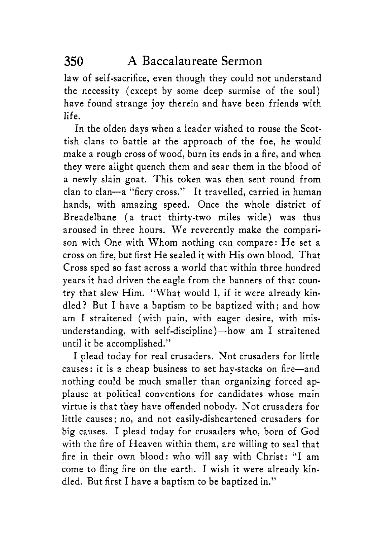law of self-sacrifice, even though they could not understand the necessity (except by some deep surmise of the soul) have found strange joy therein and have been friends with life.

In the olden days when a leader wished to rouse the Scottish clans to battle at the approach of the foe, he would make a rough cross of wood, burn its ends in a fire, and when they were alight quench them and sear them in the blood of a newly slain goat. This token was then sent round from clan to clan-a "fiery cross." It travelled, carried in human hands, with amazing speed. Once the whole district of Breadelbane (a tract thirty-two miles wide) was thus aroused in three hours. We reverently make the comparison with One with Whom nothing can compare: He set a cross on fire, but first He sealed it with His own blood. That Cross sped so fast across a world that within three hundred years it had driven the eagle from the banners of that country that slew Him. "What would I, if it were already kindled? But I have a baptism to be baptized with; and how am I straitened (with pain, with eager desire, with misunderstanding, with self-discipline)-how am I straitened until it be accomplished."

I plead today for real crusaders. Not crusaders for little causes: it is a cheap business to set hay-stacks on fire-and nothing could be much smaller than organizing forced applause at political conventions for candidates whose main virtue is that they have offended nobody. Not crusaders for little causes; no, and not easily-disheartened crusaders for big causes. I plead today for crusaders who, born of God with the fire of Heaven within them, are willing to seal that fire in their own blood: who will say with Christ: "I am come to fling fire on the earth. I wish it were already kindled. But first I have a baptism to be baptized in."